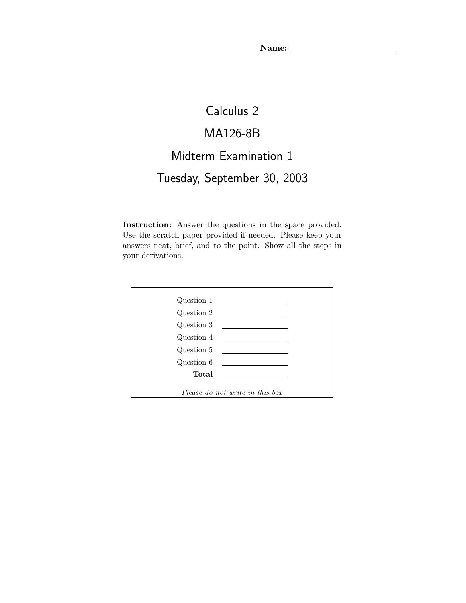# Calculus 2

### MA126-8B

## Midterm Examination 1

## Tuesday, September 30, 2003

Instruction: Answer the questions in the space provided. Use the scratch paper provided if needed. Please keep your answers neat, brief, and to the point. Show all the steps in your derivations.

|                                 | $Question 1$ $\qquad \qquad$ |
|---------------------------------|------------------------------|
| Question 2                      |                              |
| Question 3                      |                              |
| Question 4                      |                              |
| Question 5                      |                              |
| Question 6                      |                              |
| Total                           |                              |
|                                 |                              |
| Please do not write in this box |                              |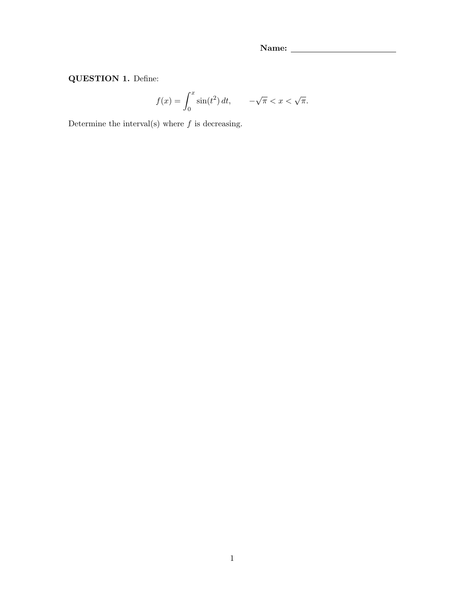QUESTION 1. Define:

$$
f(x) = \int_0^x \sin(t^2) dt, \qquad -\sqrt{\pi} < x < \sqrt{\pi}.
$$

Determine the interval(s) where  $f$  is decreasing.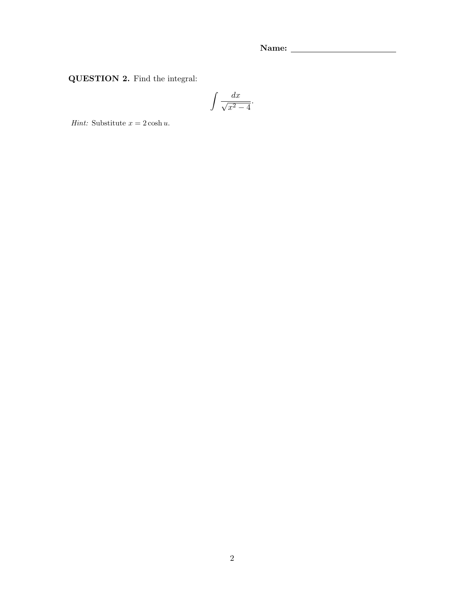QUESTION 2. Find the integral:

$$
\int \frac{dx}{\sqrt{x^2 - 4}}.
$$

Hint: Substitute  $x = 2 \cosh u$ .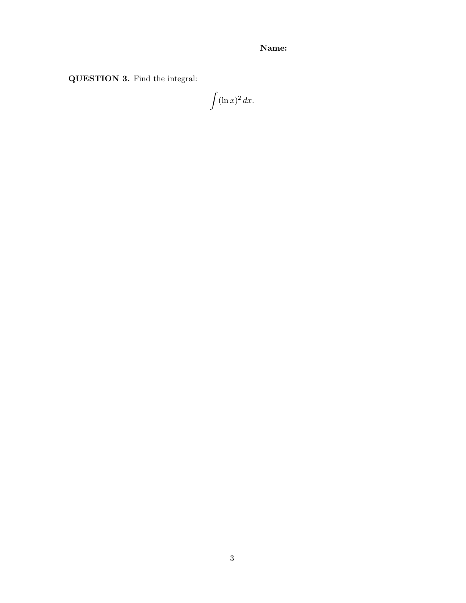QUESTION 3. Find the integral:

 $\int (\ln x)^2 dx.$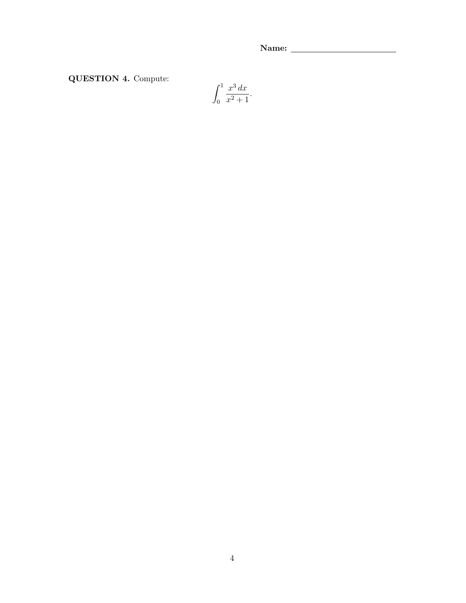QUESTION 4. Compute:

$$
\int_0^1 \frac{x^3 \, dx}{x^2 + 1}.
$$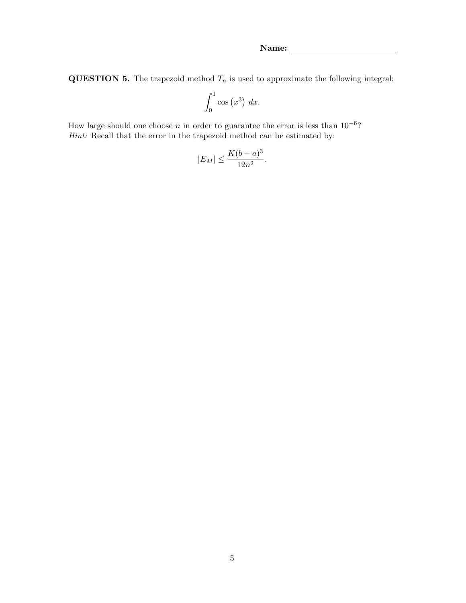**QUESTION 5.** The trapezoid method  $T_n$  is used to approximate the following integral:

$$
\int_0^1 \cos\left(x^3\right) \, dx.
$$

How large should one choose n in order to guarantee the error is less than  $10^{-6}$ ? Hint: Recall that the error in the trapezoid method can be estimated by:

$$
|E_M| \le \frac{K(b-a)^3}{12n^2}.
$$